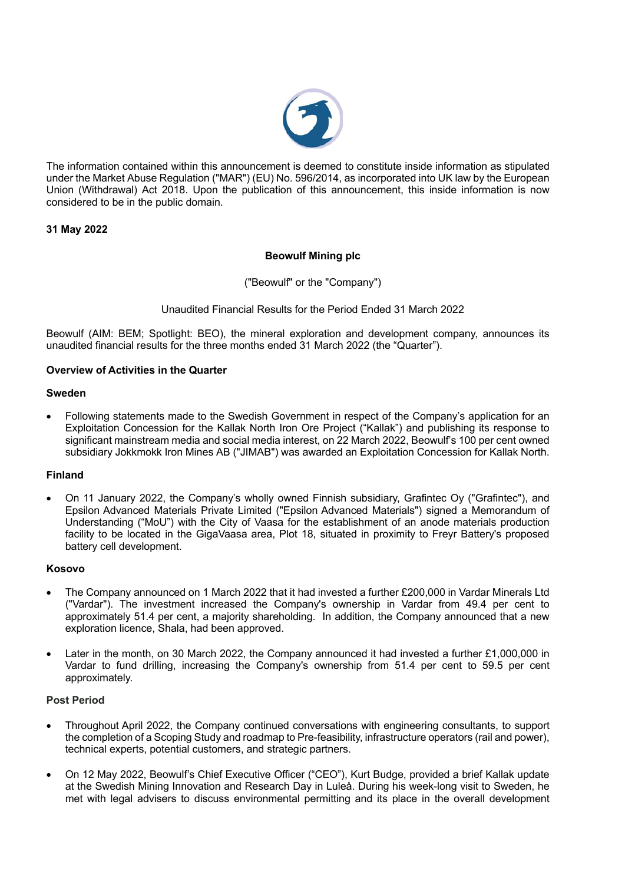

The information contained within this announcement is deemed to constitute inside information as stipulated under the Market Abuse Regulation ("MAR") (EU) No. 596/2014, as incorporated into UK law by the European Union (Withdrawal) Act 2018. Upon the publication of this announcement, this inside information is now considered to be in the public domain.

# **31 May 2022**

### **Beowulf Mining plc**

("Beowulf" or the "Company")

### Unaudited Financial Results for the Period Ended 31 March 2022

Beowulf (AIM: BEM; Spotlight: BEO), the mineral exploration and development company, announces its unaudited financial results for the three months ended 31 March 2022 (the "Quarter").

### **Overview of Activities in the Quarter**

#### **Sweden**

• Following statements made to the Swedish Government in respect of the Company's application for an Exploitation Concession for the Kallak North Iron Ore Project ("Kallak") and publishing its response to significant mainstream media and social media interest, on 22 March 2022, Beowulf's 100 per cent owned subsidiary Jokkmokk Iron Mines AB ("JIMAB") was awarded an Exploitation Concession for Kallak North.

#### **Finland**

• On 11 January 2022, the Company's wholly owned Finnish subsidiary, Grafintec Oy ("Grafintec"), and Epsilon Advanced Materials Private Limited ("Epsilon Advanced Materials") signed a Memorandum of Understanding ("MoU") with the City of Vaasa for the establishment of an anode materials production facility to be located in the GigaVaasa area, Plot 18, situated in proximity to Freyr Battery's proposed battery cell development.

#### **Kosovo**

- The Company announced on 1 March 2022 that it had invested a further £200,000 in Vardar Minerals Ltd ("Vardar"). The investment increased the Company's ownership in Vardar from 49.4 per cent to approximately 51.4 per cent, a majority shareholding. In addition, the Company announced that a new exploration licence, Shala, had been approved.
- Later in the month, on 30 March 2022, the Company announced it had invested a further £1,000,000 in Vardar to fund drilling, increasing the Company's ownership from 51.4 per cent to 59.5 per cent approximately.

#### **Post Period**

- Throughout April 2022, the Company continued conversations with engineering consultants, to support the completion of a Scoping Study and roadmap to Pre-feasibility, infrastructure operators (rail and power), technical experts, potential customers, and strategic partners.
- On 12 May 2022, Beowulf's Chief Executive Officer ("CEO"), Kurt Budge, provided a brief Kallak update at the Swedish Mining Innovation and Research Day in Luleå. During his week-long visit to Sweden, he met with legal advisers to discuss environmental permitting and its place in the overall development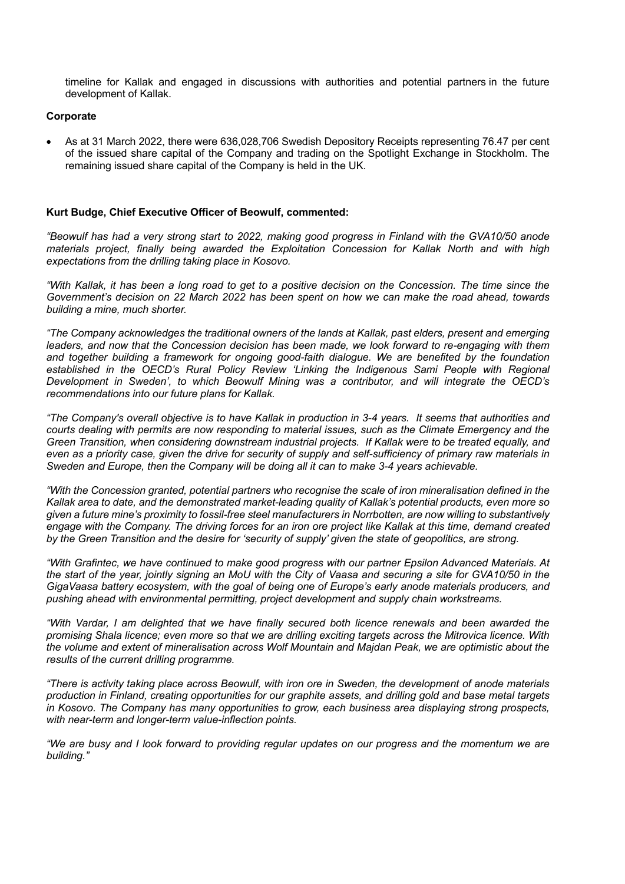timeline for Kallak and engaged in discussions with authorities and potential partners in the future development of Kallak.

#### **Corporate**

• As at 31 March 2022, there were 636,028,706 Swedish Depository Receipts representing 76.47 per cent of the issued share capital of the Company and trading on the Spotlight Exchange in Stockholm. The remaining issued share capital of the Company is held in the UK.

#### **Kurt Budge, Chief Executive Officer of Beowulf, commented:**

*"Beowulf has had a very strong start to 2022, making good progress in Finland with the GVA10/50 anode materials project, finally being awarded the Exploitation Concession for Kallak North and with high expectations from the drilling taking place in Kosovo.*

*"With Kallak, it has been a long road to get to a positive decision on the Concession. The time since the Government's decision on 22 March 2022 has been spent on how we can make the road ahead, towards building a mine, much shorter.* 

*"The Company acknowledges the traditional owners of the lands at Kallak, past elders, present and emerging leaders, and now that the Concession decision has been made, we look forward to re-engaging with them and together building a framework for ongoing good-faith dialogue. We are benefited by the foundation*  established in the OECD's Rural Policy Review 'Linking the Indigenous Sami People with Regional *Development in Sweden', to which Beowulf Mining was a contributor, and will integrate the OECD's recommendations into our future plans for Kallak.* 

*"The Company's overall objective is to have Kallak in production in 3-4 years. It seems that authorities and courts dealing with permits are now responding to material issues, such as the Climate Emergency and the Green Transition, when considering downstream industrial projects. If Kallak were to be treated equally, and even as a priority case, given the drive for security of supply and self-sufficiency of primary raw materials in Sweden and Europe, then the Company will be doing all it can to make 3-4 years achievable.* 

*"With the Concession granted, potential partners who recognise the scale of iron mineralisation defined in the Kallak area to date, and the demonstrated market-leading quality of Kallak's potential products, even more so given a future mine's proximity to fossil-free steel manufacturers in Norrbotten, are now willing to substantively engage with the Company. The driving forces for an iron ore project like Kallak at this time, demand created by the Green Transition and the desire for 'security of supply' given the state of geopolitics, are strong.* 

*"With Grafintec, we have continued to make good progress with our partner Epsilon Advanced Materials. At the start of the year, jointly signing an MoU with the City of Vaasa and securing a site for GVA10/50 in the GigaVaasa battery ecosystem, with the goal of being one of Europe's early anode materials producers, and pushing ahead with environmental permitting, project development and supply chain workstreams.*

*"With Vardar, I am delighted that we have finally secured both licence renewals and been awarded the promising Shala licence; even more so that we are drilling exciting targets across the Mitrovica licence. With the volume and extent of mineralisation across Wolf Mountain and Majdan Peak, we are optimistic about the results of the current drilling programme.*

*"There is activity taking place across Beowulf, with iron ore in Sweden, the development of anode materials production in Finland, creating opportunities for our graphite assets, and drilling gold and base metal targets in Kosovo. The Company has many opportunities to grow, each business area displaying strong prospects, with near-term and longer-term value-inflection points.*

*"We are busy and I look forward to providing regular updates on our progress and the momentum we are building."*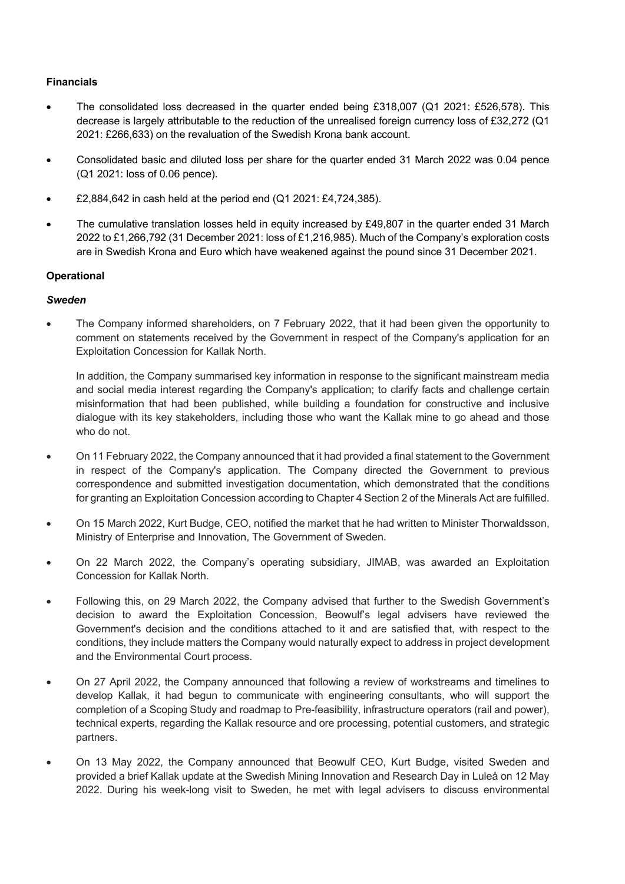# **Financials**

- The consolidated loss decreased in the quarter ended being £318,007 (Q1 2021: £526,578). This decrease is largely attributable to the reduction of the unrealised foreign currency loss of £32,272 (Q1 2021: £266,633) on the revaluation of the Swedish Krona bank account.
- Consolidated basic and diluted loss per share for the quarter ended 31 March 2022 was 0.04 pence (Q1 2021: loss of 0.06 pence).
- £2,884,642 in cash held at the period end (Q1 2021: £4,724,385).
- The cumulative translation losses held in equity increased by £49,807 in the quarter ended 31 March 2022 to £1,266,792 (31 December 2021: loss of £1,216,985). Much of the Company's exploration costs are in Swedish Krona and Euro which have weakened against the pound since 31 December 2021.

### **Operational**

### *Sweden*

• The Company informed shareholders, on 7 February 2022, that it had been given the opportunity to comment on statements received by the Government in respect of the Company's application for an Exploitation Concession for Kallak North.

In addition, the Company summarised key information in response to the significant mainstream media and social media interest regarding the Company's application; to clarify facts and challenge certain misinformation that had been published, while building a foundation for constructive and inclusive dialogue with its key stakeholders, including those who want the Kallak mine to go ahead and those who do not.

- On 11 February 2022, the Company announced that it had provided a final statement to the Government in respect of the Company's application. The Company directed the Government to previous correspondence and submitted investigation documentation, which demonstrated that the conditions for granting an Exploitation Concession according to Chapter 4 Section 2 of the Minerals Act are fulfilled.
- On 15 March 2022, Kurt Budge, CEO, notified the market that he had written to Minister Thorwaldsson, Ministry of Enterprise and Innovation, The Government of Sweden.
- On 22 March 2022, the Company's operating subsidiary, JIMAB, was awarded an Exploitation Concession for Kallak North.
- Following this, on 29 March 2022, the Company advised that further to the Swedish Government's decision to award the Exploitation Concession, Beowulf's legal advisers have reviewed the Government's decision and the conditions attached to it and are satisfied that, with respect to the conditions, they include matters the Company would naturally expect to address in project development and the Environmental Court process.
- On 27 April 2022, the Company announced that following a review of workstreams and timelines to develop Kallak, it had begun to communicate with engineering consultants, who will support the completion of a Scoping Study and roadmap to Pre-feasibility, infrastructure operators (rail and power), technical experts, regarding the Kallak resource and ore processing, potential customers, and strategic partners.
- On 13 May 2022, the Company announced that Beowulf CEO, Kurt Budge, visited Sweden and provided a brief Kallak update at the Swedish Mining Innovation and Research Day in Luleå on 12 May 2022. During his week-long visit to Sweden, he met with legal advisers to discuss environmental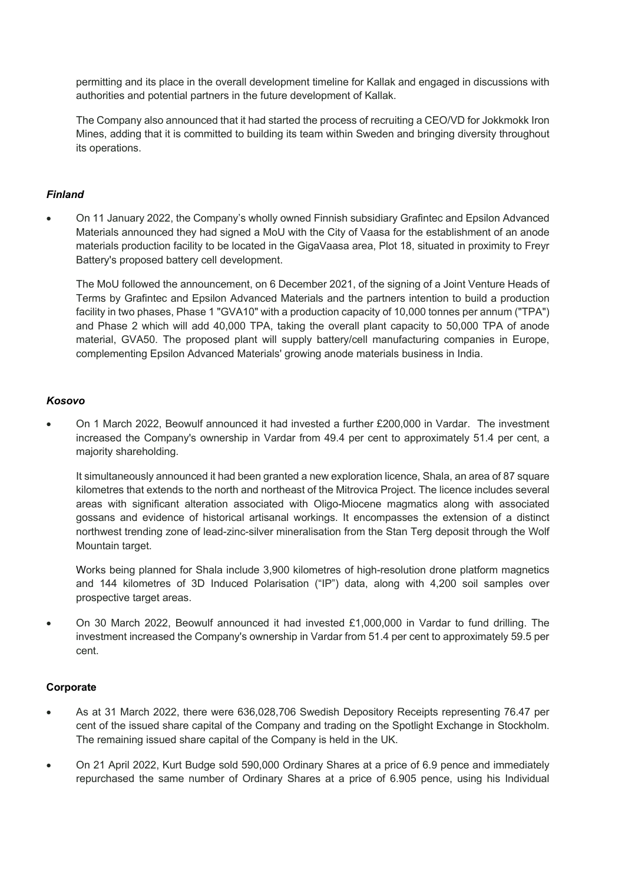permitting and its place in the overall development timeline for Kallak and engaged in discussions with authorities and potential partners in the future development of Kallak.

The Company also announced that it had started the process of recruiting a CEO/VD for Jokkmokk Iron Mines, adding that it is committed to building its team within Sweden and bringing diversity throughout its operations.

# *Finland*

• On 11 January 2022, the Company's wholly owned Finnish subsidiary Grafintec and Epsilon Advanced Materials announced they had signed a MoU with the City of Vaasa for the establishment of an anode materials production facility to be located in the GigaVaasa area, Plot 18, situated in proximity to Freyr Battery's proposed battery cell development.

The MoU followed the announcement, on 6 December 2021, of the signing of a Joint Venture Heads of Terms by Grafintec and Epsilon Advanced Materials and the partners intention to build a production facility in two phases, Phase 1 "GVA10" with a production capacity of 10,000 tonnes per annum ("TPA") and Phase 2 which will add 40,000 TPA, taking the overall plant capacity to 50,000 TPA of anode material, GVA50. The proposed plant will supply battery/cell manufacturing companies in Europe, complementing Epsilon Advanced Materials' growing anode materials business in India.

### *Kosovo*

• On 1 March 2022, Beowulf announced it had invested a further £200,000 in Vardar. The investment increased the Company's ownership in Vardar from 49.4 per cent to approximately 51.4 per cent, a majority shareholding.

It simultaneously announced it had been granted a new exploration licence, Shala, an area of 87 square kilometres that extends to the north and northeast of the Mitrovica Project. The licence includes several areas with significant alteration associated with Oligo-Miocene magmatics along with associated gossans and evidence of historical artisanal workings. It encompasses the extension of a distinct northwest trending zone of lead-zinc-silver mineralisation from the Stan Terg deposit through the Wolf Mountain target.

Works being planned for Shala include 3,900 kilometres of high-resolution drone platform magnetics and 144 kilometres of 3D Induced Polarisation ("IP") data, along with 4,200 soil samples over prospective target areas.

• On 30 March 2022, Beowulf announced it had invested £1,000,000 in Vardar to fund drilling. The investment increased the Company's ownership in Vardar from 51.4 per cent to approximately 59.5 per cent.

### **Corporate**

- As at 31 March 2022, there were 636,028,706 Swedish Depository Receipts representing 76.47 per cent of the issued share capital of the Company and trading on the Spotlight Exchange in Stockholm. The remaining issued share capital of the Company is held in the UK.
- On 21 April 2022, Kurt Budge sold 590,000 Ordinary Shares at a price of 6.9 pence and immediately repurchased the same number of Ordinary Shares at a price of 6.905 pence, using his Individual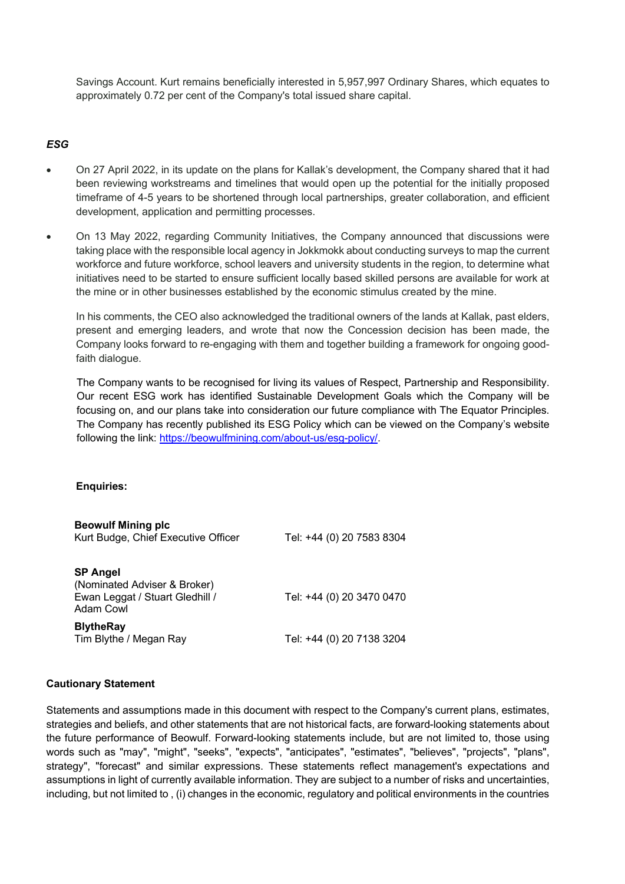Savings Account. Kurt remains beneficially interested in 5,957,997 Ordinary Shares, which equates to approximately 0.72 per cent of the Company's total issued share capital.

# *ESG*

- On 27 April 2022, in its update on the plans for Kallak's development, the Company shared that it had been reviewing workstreams and timelines that would open up the potential for the initially proposed timeframe of 4-5 years to be shortened through local partnerships, greater collaboration, and efficient development, application and permitting processes.
- On 13 May 2022, regarding Community Initiatives, the Company announced that discussions were taking place with the responsible local agency in Jokkmokk about conducting surveys to map the current workforce and future workforce, school leavers and university students in the region, to determine what initiatives need to be started to ensure sufficient locally based skilled persons are available for work at the mine or in other businesses established by the economic stimulus created by the mine.

In his comments, the CEO also acknowledged the traditional owners of the lands at Kallak, past elders, present and emerging leaders, and wrote that now the Concession decision has been made, the Company looks forward to re-engaging with them and together building a framework for ongoing goodfaith dialogue.

The Company wants to be recognised for living its values of Respect, Partnership and Responsibility. Our recent ESG work has identified Sustainable Development Goals which the Company will be focusing on, and our plans take into consideration our future compliance with The Equator Principles. The Company has recently published its ESG Policy which can be viewed on the Company's website following the link: https://beowulfmining.com/about-us/esg-policy/.

### **Enquiries:**

| <b>Beowulf Mining plc</b><br>Kurt Budge, Chief Executive Officer                                | Tel: +44 (0) 20 7583 8304 |
|-------------------------------------------------------------------------------------------------|---------------------------|
| <b>SP Angel</b><br>(Nominated Adviser & Broker)<br>Ewan Leggat / Stuart Gledhill /<br>Adam Cowl | Tel: +44 (0) 20 3470 0470 |
| <b>BlytheRay</b><br>Tim Blythe / Megan Ray                                                      | Tel: +44 (0) 20 7138 3204 |

### **Cautionary Statement**

Statements and assumptions made in this document with respect to the Company's current plans, estimates, strategies and beliefs, and other statements that are not historical facts, are forward-looking statements about the future performance of Beowulf. Forward-looking statements include, but are not limited to, those using words such as "may", "might", "seeks", "expects", "anticipates", "estimates", "believes", "projects", "plans", strategy", "forecast" and similar expressions. These statements reflect management's expectations and assumptions in light of currently available information. They are subject to a number of risks and uncertainties, including, but not limited to , (i) changes in the economic, regulatory and political environments in the countries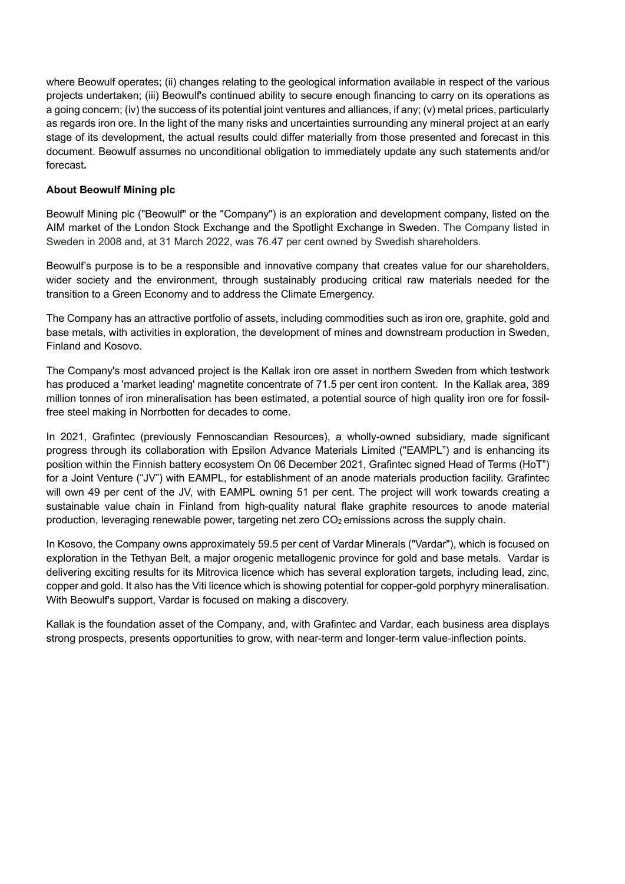where Beowulf operates; (ii) changes relating to the geological information available in respect of the various projects undertaken; (iii) Beowulf's continued ability to secure enough financing to carry on its operations as a going concern; (iv) the success of its potential joint ventures and alliances, if any; (v) metal prices, particularly as regards iron ore. In the light of the many risks and uncertainties surrounding any mineral project at an early stage of its development, the actual results could differ materially from those presented and forecast in this document. Beowulf assumes no unconditional obligation to immediately update any such statements and/or forecast**.**

# **About Beowulf Mining plc**

Beowulf Mining plc ("Beowulf" or the "Company") is an exploration and development company, listed on the AIM market of the London Stock Exchange and the Spotlight Exchange in Sweden. The Company listed in Sweden in 2008 and, at 31 March 2022, was 76.47 per cent owned by Swedish shareholders.

Beowulf's purpose is to be a responsible and innovative company that creates value for our shareholders, wider society and the environment, through sustainably producing critical raw materials needed for the transition to a Green Economy and to address the Climate Emergency.

The Company has an attractive portfolio of assets, including commodities such as iron ore, graphite, gold and base metals, with activities in exploration, the development of mines and downstream production in Sweden, Finland and Kosovo.

The Company's most advanced project is the Kallak iron ore asset in northern Sweden from which testwork has produced a 'market leading' magnetite concentrate of 71.5 per cent iron content. In the Kallak area, 389 million tonnes of iron mineralisation has been estimated, a potential source of high quality iron ore for fossilfree steel making in Norrbotten for decades to come.

In 2021, Grafintec (previously Fennoscandian Resources), a wholly-owned subsidiary, made significant progress through its collaboration with Epsilon Advance Materials Limited ("EAMPL") and is enhancing its position within the Finnish battery ecosystem On 06 December 2021, Grafintec signed Head of Terms (HoT") for a Joint Venture ("JV") with EAMPL, for establishment of an anode materials production facility. Grafintec will own 49 per cent of the JV, with EAMPL owning 51 per cent. The project will work towards creating a sustainable value chain in Finland from high-quality natural flake graphite resources to anode material production, leveraging renewable power, targeting net zero  $CO<sub>2</sub>$  emissions across the supply chain.

In Kosovo, the Company owns approximately 59.5 per cent of Vardar Minerals ("Vardar"), which is focused on exploration in the Tethyan Belt, a major orogenic metallogenic province for gold and base metals. Vardar is delivering exciting results for its Mitrovica licence which has several exploration targets, including lead, zinc, copper and gold. It also has the Viti licence which is showing potential for copper-gold porphyry mineralisation. With Beowulf's support, Vardar is focused on making a discovery.

Kallak is the foundation asset of the Company, and, with Grafintec and Vardar, each business area displays strong prospects, presents opportunities to grow, with near-term and longer-term value-inflection points.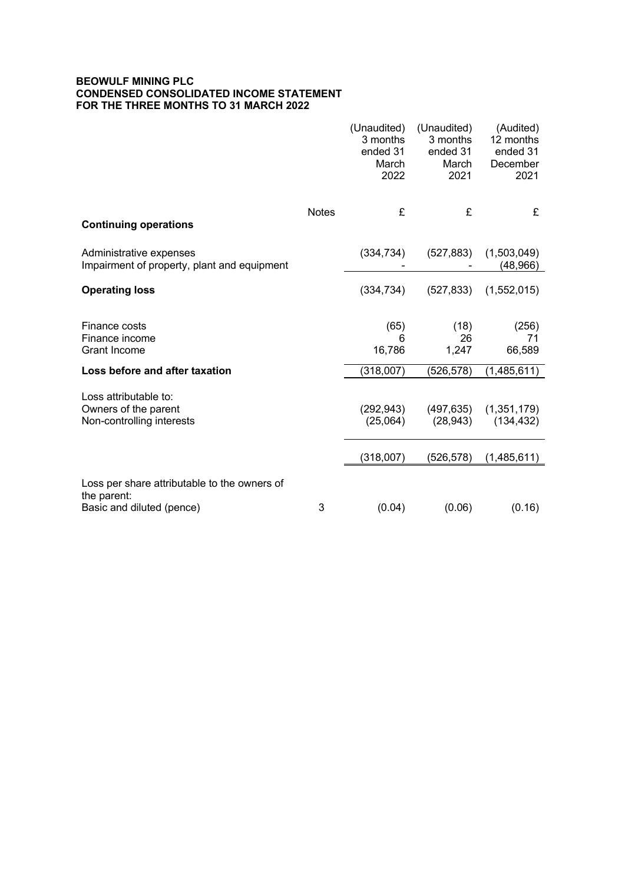### **BEOWULF MINING PLC CONDENSED CONSOLIDATED INCOME STATEMENT FOR THE THREE MONTHS TO 31 MARCH 2022**

|                                                                                          |              | (Unaudited)<br>3 months<br>ended 31<br>March<br>2022 | (Unaudited)<br>3 months<br>ended 31<br>March<br>2021 | (Audited)<br>12 months<br>ended 31<br>December<br>2021 |
|------------------------------------------------------------------------------------------|--------------|------------------------------------------------------|------------------------------------------------------|--------------------------------------------------------|
| <b>Continuing operations</b>                                                             | <b>Notes</b> | £                                                    | £                                                    | £                                                      |
| Administrative expenses<br>Impairment of property, plant and equipment                   |              | (334, 734)                                           | (527, 883)                                           | (1,503,049)<br>(48, 966)                               |
| <b>Operating loss</b>                                                                    |              | (334, 734)                                           | (527, 833)                                           | (1,552,015)                                            |
| Finance costs<br>Finance income<br><b>Grant Income</b>                                   |              | (65)<br>6<br>16,786                                  | (18)<br>26<br>1,247                                  | (256)<br>71<br>66,589                                  |
| Loss before and after taxation                                                           |              | (318,007)                                            | (526,578)                                            | (1,485,611)                                            |
| Loss attributable to:<br>Owners of the parent<br>Non-controlling interests               |              | (292, 943)<br>(25,064)<br>(318,007)                  | (497, 635)<br>(28, 943)<br>(526, 578)                | (1,351,179)<br>(134, 432)                              |
|                                                                                          |              |                                                      |                                                      | (1,485,611)                                            |
| Loss per share attributable to the owners of<br>the parent:<br>Basic and diluted (pence) | 3            | (0.04)                                               | (0.06)                                               | (0.16)                                                 |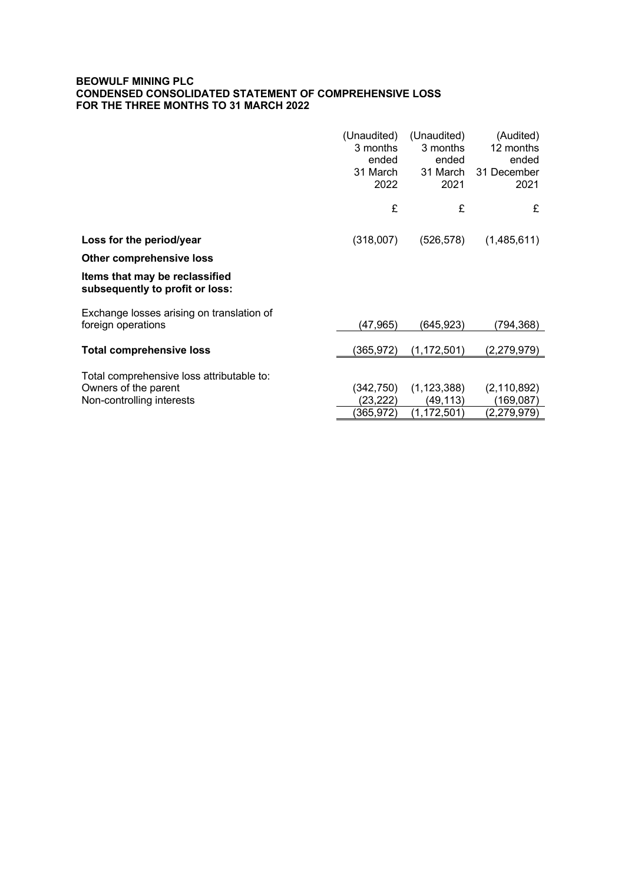### **BEOWULF MINING PLC CONDENSED CONSOLIDATED STATEMENT OF COMPREHENSIVE LOSS FOR THE THREE MONTHS TO 31 MARCH 2022**

|                                                                   | (Unaudited)<br>3 months<br>ended<br>31 March<br>2022 | (Unaudited)<br>3 months<br>ended<br>31 March<br>2021 | (Audited)<br>12 months<br>ended<br>31 December<br>2021 |
|-------------------------------------------------------------------|------------------------------------------------------|------------------------------------------------------|--------------------------------------------------------|
|                                                                   | £                                                    | £                                                    | £                                                      |
| Loss for the period/year                                          | (318,007)                                            | (526,578)                                            | (1,485,611)                                            |
| <b>Other comprehensive loss</b>                                   |                                                      |                                                      |                                                        |
| Items that may be reclassified<br>subsequently to profit or loss: |                                                      |                                                      |                                                        |
| Exchange losses arising on translation of                         |                                                      |                                                      |                                                        |
| foreign operations                                                | (47,965)                                             | (645,923)                                            | (794,368)                                              |
| <b>Total comprehensive loss</b>                                   | (365, 972)                                           | (1, 172, 501)                                        | (2, 279, 979)                                          |
| Total comprehensive loss attributable to:                         |                                                      |                                                      |                                                        |
| Owners of the parent                                              | (342,750)                                            | (1, 123, 388)                                        | (2, 110, 892)                                          |
| Non-controlling interests                                         | (23,222)                                             | (49, 113)                                            | (169,087)                                              |
|                                                                   | (365,972)                                            | (1, 172, 501)                                        | (2,279,979)                                            |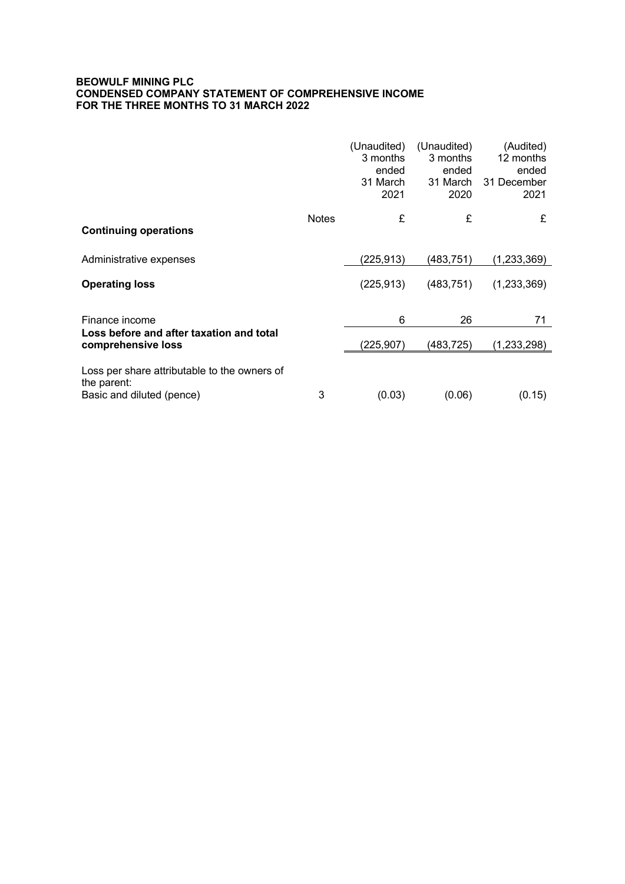### **BEOWULF MINING PLC CONDENSED COMPANY STATEMENT OF COMPREHENSIVE INCOME FOR THE THREE MONTHS TO 31 MARCH 2022**

|                                                                                          |              | (Unaudited)<br>3 months<br>ended<br>31 March<br>2021 | (Unaudited)<br>3 months<br>ended<br>31 March<br>2020 | (Audited)<br>12 months<br>ended<br>31 December<br>2021 |
|------------------------------------------------------------------------------------------|--------------|------------------------------------------------------|------------------------------------------------------|--------------------------------------------------------|
| <b>Continuing operations</b>                                                             | <b>Notes</b> | £                                                    | £                                                    | £                                                      |
| Administrative expenses                                                                  |              | (225,913)                                            | (483, 751)                                           | (1,233,369)                                            |
| <b>Operating loss</b>                                                                    |              | (225, 913)                                           | (483, 751)                                           | (1,233,369)                                            |
| Finance income                                                                           |              | 6                                                    | 26                                                   | 71                                                     |
| Loss before and after taxation and total<br>comprehensive loss                           |              | (225,907)                                            | (483,725)                                            | (1,233,298)                                            |
| Loss per share attributable to the owners of<br>the parent:<br>Basic and diluted (pence) | 3            | (0.03)                                               | (0.06)                                               | (0.15)                                                 |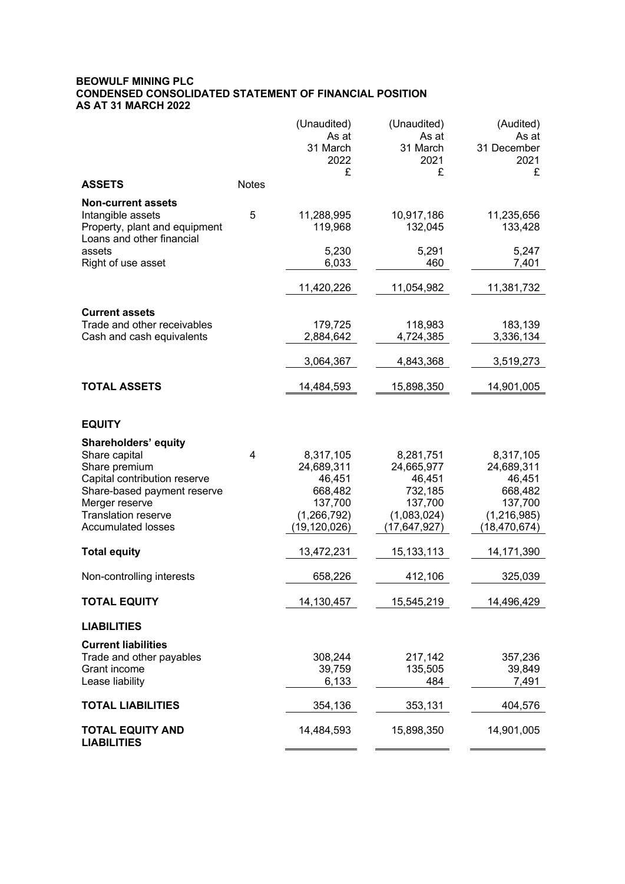### **BEOWULF MINING PLC CONDENSED CONSOLIDATED STATEMENT OF FINANCIAL POSITION AS AT 31 MARCH 2022**

|                                                                                                                                                                                                           |              | (Unaudited)<br>As at<br>31 March<br>2022<br>£                                           | (Unaudited)<br>As at<br>31 March<br>2021<br>£                                            | (Audited)<br>As at<br>31 December<br>2021<br>£                                           |
|-----------------------------------------------------------------------------------------------------------------------------------------------------------------------------------------------------------|--------------|-----------------------------------------------------------------------------------------|------------------------------------------------------------------------------------------|------------------------------------------------------------------------------------------|
| <b>ASSETS</b>                                                                                                                                                                                             | <b>Notes</b> |                                                                                         |                                                                                          |                                                                                          |
| <b>Non-current assets</b><br>Intangible assets<br>Property, plant and equipment<br>Loans and other financial<br>assets<br>Right of use asset                                                              | 5            | 11,288,995<br>119,968<br>5,230<br>6,033                                                 | 10,917,186<br>132,045<br>5,291<br>460                                                    | 11,235,656<br>133,428<br>5,247<br>7,401                                                  |
|                                                                                                                                                                                                           |              |                                                                                         |                                                                                          |                                                                                          |
|                                                                                                                                                                                                           |              | 11,420,226                                                                              | 11,054,982                                                                               | 11,381,732                                                                               |
| <b>Current assets</b><br>Trade and other receivables<br>Cash and cash equivalents                                                                                                                         |              | 179,725<br>2,884,642                                                                    | 118,983<br>4,724,385                                                                     | 183,139<br>3,336,134                                                                     |
|                                                                                                                                                                                                           |              | 3,064,367                                                                               | 4,843,368                                                                                | 3,519,273                                                                                |
| <b>TOTAL ASSETS</b>                                                                                                                                                                                       |              | 14,484,593                                                                              | 15,898,350                                                                               | 14,901,005                                                                               |
| <b>EQUITY</b>                                                                                                                                                                                             |              |                                                                                         |                                                                                          |                                                                                          |
| <b>Shareholders' equity</b><br>Share capital<br>Share premium<br>Capital contribution reserve<br>Share-based payment reserve<br>Merger reserve<br><b>Translation reserve</b><br><b>Accumulated losses</b> | 4            | 8,317,105<br>24,689,311<br>46,451<br>668,482<br>137,700<br>(1, 266, 792)<br>19,120,026) | 8,281,751<br>24,665,977<br>46,451<br>732,185<br>137,700<br>(1,083,024)<br>(17, 647, 927) | 8,317,105<br>24,689,311<br>46,451<br>668,482<br>137,700<br>(1,216,985)<br>(18, 470, 674) |
| <b>Total equity</b>                                                                                                                                                                                       |              | 13,472,231                                                                              | 15, 133, 113                                                                             | 14,171,390                                                                               |
| Non-controlling interests                                                                                                                                                                                 |              | 658,226                                                                                 | 412,106                                                                                  | 325,039                                                                                  |
| <b>TOTAL EQUITY</b>                                                                                                                                                                                       |              | 14,130,457                                                                              | 15,545,219                                                                               | 14,496,429                                                                               |
| <b>LIABILITIES</b>                                                                                                                                                                                        |              |                                                                                         |                                                                                          |                                                                                          |
| <b>Current liabilities</b><br>Trade and other payables<br>Grant income<br>Lease liability                                                                                                                 |              | 308,244<br>39,759<br>6,133                                                              | 217,142<br>135,505<br>484                                                                | 357,236<br>39,849<br>7,491                                                               |
| <b>TOTAL LIABILITIES</b>                                                                                                                                                                                  |              | 354,136                                                                                 | 353,131                                                                                  | 404,576                                                                                  |
| <b>TOTAL EQUITY AND</b><br><b>LIABILITIES</b>                                                                                                                                                             |              | 14,484,593                                                                              | 15,898,350                                                                               | 14,901,005                                                                               |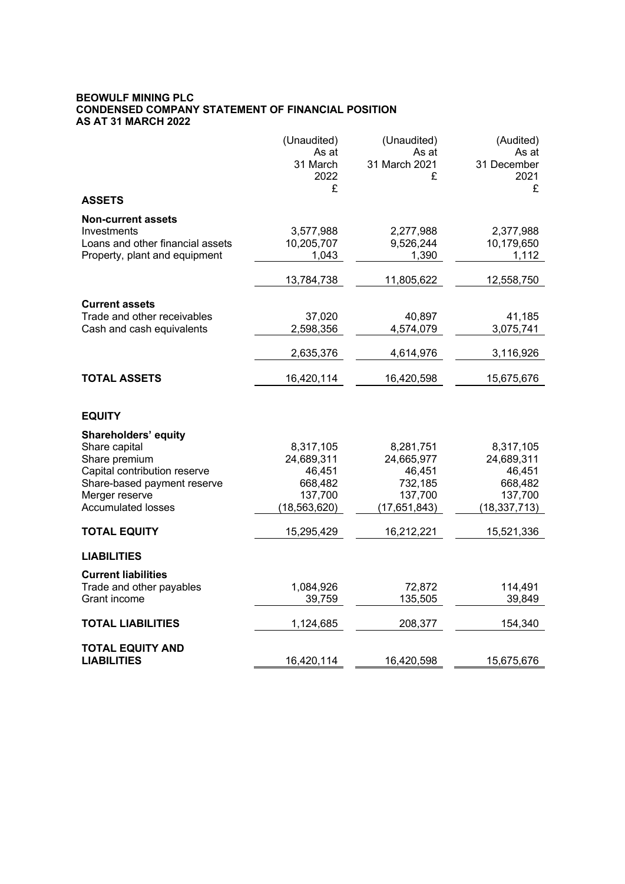#### **BEOWULF MINING PLC CONDENSED COMPANY STATEMENT OF FINANCIAL POSITION AS AT 31 MARCH 2022**

|                                  | (Unaudited)       | (Unaudited)            | (Audited)            |
|----------------------------------|-------------------|------------------------|----------------------|
|                                  | As at<br>31 March | As at<br>31 March 2021 | As at<br>31 December |
|                                  | 2022              | £                      | 2021                 |
|                                  | £                 |                        | £                    |
| <b>ASSETS</b>                    |                   |                        |                      |
| <b>Non-current assets</b>        |                   |                        |                      |
| Investments                      | 3,577,988         | 2,277,988              | 2,377,988            |
| Loans and other financial assets | 10,205,707        | 9,526,244              | 10,179,650           |
| Property, plant and equipment    | 1,043             | 1,390                  | 1,112                |
|                                  | 13,784,738        | 11,805,622             | 12,558,750           |
| <b>Current assets</b>            |                   |                        |                      |
| Trade and other receivables      | 37,020            | 40,897                 | 41,185               |
| Cash and cash equivalents        | 2,598,356         | 4,574,079              | 3,075,741            |
|                                  | 2,635,376         | 4,614,976              | 3,116,926            |
| <b>TOTAL ASSETS</b>              | 16,420,114        | 16,420,598             | 15,675,676           |
|                                  |                   |                        |                      |
| <b>EQUITY</b>                    |                   |                        |                      |
| Shareholders' equity             |                   |                        |                      |
| Share capital                    | 8,317,105         | 8,281,751              | 8,317,105            |
| Share premium                    | 24,689,311        | 24,665,977             | 24,689,311           |
| Capital contribution reserve     | 46,451            | 46,451                 | 46,451               |
| Share-based payment reserve      | 668,482           | 732,185                | 668,482              |
| Merger reserve                   | 137,700           | 137,700                | 137,700              |
| <b>Accumulated losses</b>        | (18, 563, 620)    | (17, 651, 843)         | (18, 337, 713)       |
| <b>TOTAL EQUITY</b>              | 15,295,429        | 16,212,221             | 15,521,336           |
| <b>LIABILITIES</b>               |                   |                        |                      |
| <b>Current liabilities</b>       |                   |                        |                      |
| Trade and other payables         | 1,084,926         | 72,872                 | 114,491              |
| Grant income                     | 39,759            | 135,505                | 39,849               |
| <b>TOTAL LIABILITIES</b>         | 1,124,685         | 208,377                | 154,340              |
| <b>TOTAL EQUITY AND</b>          |                   |                        |                      |
| <b>LIABILITIES</b>               | 16,420,114        | 16,420,598             | 15,675,676           |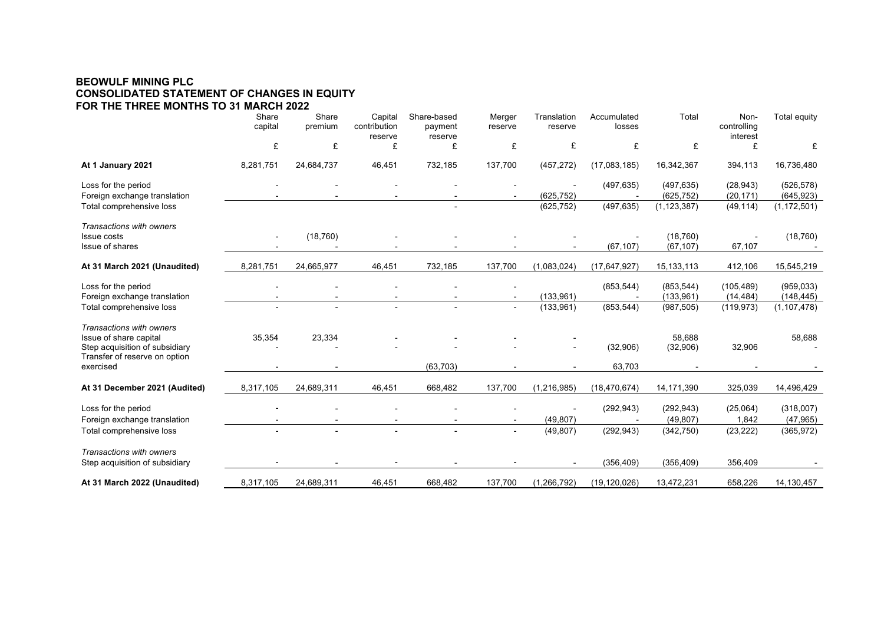### **BEOWULF MINING PLC CONSOLIDATED STATEMENT OF CHANGES IN EQUITY FOR THE THREE MONTHS TO 31 MARCH 2022**

|                                                                   | Share<br>capital | Share<br>premium | Capital<br>contribution<br>reserve | Share-based<br>payment<br>reserve | Merger<br>reserve | Translation<br>reserve | Accumulated<br>losses | Total                    | Non-<br>controlling<br>interest | Total equity             |
|-------------------------------------------------------------------|------------------|------------------|------------------------------------|-----------------------------------|-------------------|------------------------|-----------------------|--------------------------|---------------------------------|--------------------------|
|                                                                   | £                | £                | £                                  | £                                 | £                 | £                      | £                     | £                        | £                               | £                        |
| At 1 January 2021                                                 | 8,281,751        | 24,684,737       | 46,451                             | 732,185                           | 137,700           | (457, 272)             | (17,083,185)          | 16,342,367               | 394,113                         | 16,736,480               |
| Loss for the period<br>Foreign exchange translation               |                  |                  |                                    |                                   |                   | (625, 752)             | (497, 635)            | (497, 635)<br>(625, 752) | (28, 943)<br>(20, 171)          | (526, 578)<br>(645, 923) |
| Total comprehensive loss                                          |                  |                  |                                    |                                   |                   | (625, 752)             | (497, 635)            | (1, 123, 387)            | (49, 114)                       | (1, 172, 501)            |
| Transactions with owners<br><b>Issue costs</b>                    |                  | (18, 760)        |                                    |                                   |                   |                        |                       | (18, 760)                |                                 | (18, 760)                |
| Issue of shares                                                   |                  |                  |                                    |                                   |                   |                        | (67, 107)             | (67, 107)                | 67,107                          |                          |
| At 31 March 2021 (Unaudited)                                      | 8,281,751        | 24,665,977       | 46,451                             | 732,185                           | 137,700           | (1,083,024)            | (17, 647, 927)        | 15,133,113               | 412,106                         | 15,545,219               |
| Loss for the period<br>Foreign exchange translation               |                  |                  |                                    |                                   |                   | (133, 961)             | (853, 544)            | (853, 544)<br>(133, 961) | (105, 489)<br>(14, 484)         | (959, 033)<br>(148, 445) |
| Total comprehensive loss                                          |                  |                  |                                    |                                   |                   | (133,961)              | (853, 544)            | (987, 505)               | (119, 973)                      | (1, 107, 478)            |
| <b>Transactions with owners</b>                                   |                  |                  |                                    |                                   |                   |                        |                       |                          |                                 |                          |
| Issue of share capital<br>Step acquisition of subsidiary          | 35,354           | 23,334           |                                    |                                   |                   |                        | (32,906)              | 58,688<br>(32,906)       | 32,906                          | 58,688                   |
| Transfer of reserve on option<br>exercised                        |                  |                  |                                    | (63, 703)                         |                   |                        | 63,703                |                          |                                 |                          |
| At 31 December 2021 (Audited)                                     | 8,317,105        | 24,689,311       | 46,451                             | 668,482                           | 137,700           | (1, 216, 985)          | (18, 470, 674)        | 14,171,390               | 325,039                         | 14,496,429               |
| Loss for the period                                               |                  |                  |                                    |                                   |                   |                        | (292, 943)            | (292, 943)               | (25,064)                        | (318,007)                |
| Foreign exchange translation                                      |                  |                  |                                    |                                   |                   | (49, 807)              |                       | (49, 807)                | 1,842                           | (47, 965)                |
| Total comprehensive loss                                          |                  |                  |                                    |                                   |                   | (49, 807)              | (292, 943)            | (342, 750)               | (23, 222)                       | (365, 972)               |
| <b>Transactions with owners</b><br>Step acquisition of subsidiary |                  |                  |                                    |                                   |                   |                        | (356, 409)            | (356, 409)               | 356,409                         |                          |
| At 31 March 2022 (Unaudited)                                      | 8,317,105        | 24,689,311       | 46,451                             | 668,482                           | 137,700           | (1, 266, 792)          | (19, 120, 026)        | 13,472,231               | 658,226                         | 14,130,457               |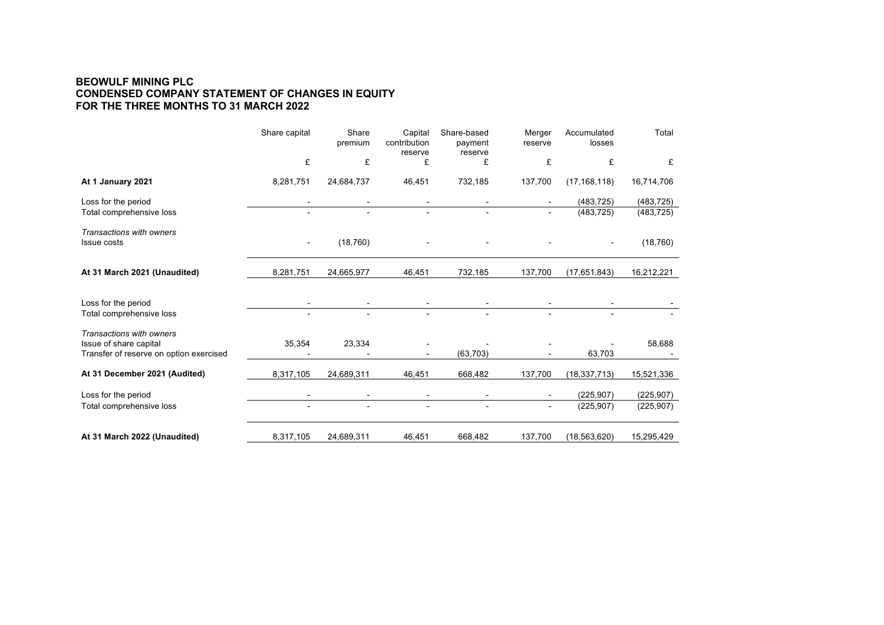### **BEOWULF MINING PLC CONDENSED COMPANY STATEMENT OF CHANGES IN EQUITY FOR THE THREE MONTHS TO 31 MARCH 2022**

|                                                    | Share capital            | Share<br>premium | Capital<br>contribution<br>reserve | Share-based<br>payment<br>reserve | Merger<br>reserve | Accumulated<br>losses | Total      |
|----------------------------------------------------|--------------------------|------------------|------------------------------------|-----------------------------------|-------------------|-----------------------|------------|
|                                                    | £                        | £                | £                                  | £                                 | £                 | £                     | £          |
| At 1 January 2021                                  | 8,281,751                | 24,684,737       | 46,451                             | 732,185                           | 137,700           | (17, 168, 118)        | 16,714,706 |
| Loss for the period                                |                          |                  |                                    |                                   |                   | (483, 725)            | (483, 725) |
| Total comprehensive loss                           |                          |                  | $\blacksquare$                     |                                   | $\blacksquare$    | (483, 725)            | (483, 725) |
| Transactions with owners<br><b>Issue costs</b>     | $\overline{\phantom{a}}$ | (18, 760)        |                                    |                                   |                   | $\blacksquare$        | (18, 760)  |
| At 31 March 2021 (Unaudited)                       | 8,281,751                | 24,665,977       | 46,451                             | 732,185                           | 137,700           | (17, 651, 843)        | 16,212,221 |
| Loss for the period                                |                          |                  |                                    |                                   |                   |                       |            |
| Total comprehensive loss                           |                          |                  |                                    |                                   |                   |                       |            |
| Transactions with owners<br>Issue of share capital | 35,354                   | 23,334           |                                    |                                   |                   |                       | 58,688     |
| Transfer of reserve on option exercised            |                          |                  |                                    | (63, 703)                         |                   | 63,703                |            |
| At 31 December 2021 (Audited)                      | 8,317,105                | 24,689,311       | 46,451                             | 668,482                           | 137,700           | (18, 337, 713)        | 15,521,336 |
| Loss for the period                                |                          |                  |                                    |                                   |                   | (225, 907)            | (225, 907) |
| Total comprehensive loss                           |                          |                  |                                    |                                   |                   | (225, 907)            | (225, 907) |
| At 31 March 2022 (Unaudited)                       | 8,317,105                | 24,689,311       | 46,451                             | 668,482                           | 137,700           | (18, 563, 620)        | 15,295,429 |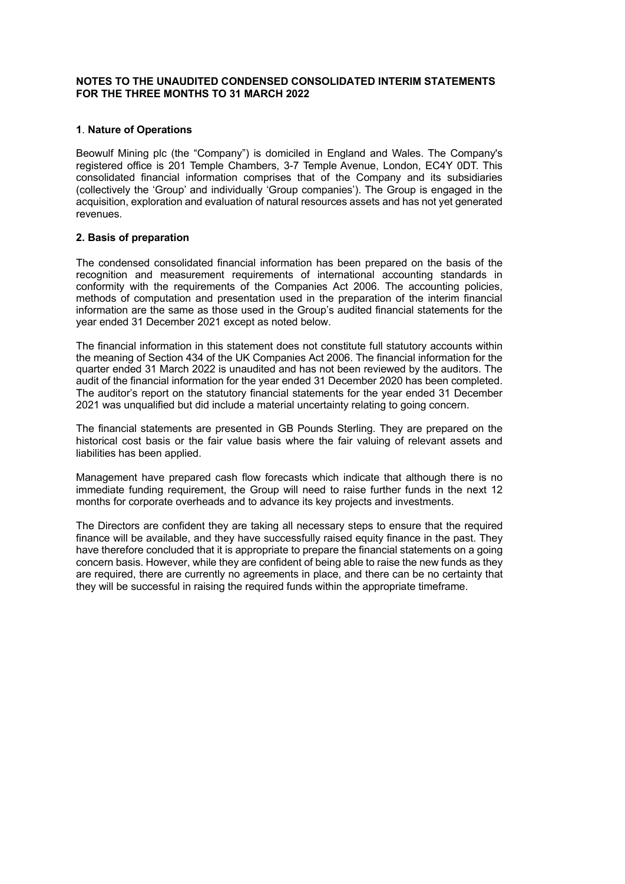### **NOTES TO THE UNAUDITED CONDENSED CONSOLIDATED INTERIM STATEMENTS FOR THE THREE MONTHS TO 31 MARCH 2022**

### **1**. **Nature of Operations**

Beowulf Mining plc (the "Company") is domiciled in England and Wales. The Company's registered office is 201 Temple Chambers, 3-7 Temple Avenue, London, EC4Y 0DT. This consolidated financial information comprises that of the Company and its subsidiaries (collectively the 'Group' and individually 'Group companies'). The Group is engaged in the acquisition, exploration and evaluation of natural resources assets and has not yet generated revenues.

### **2. Basis of preparation**

The condensed consolidated financial information has been prepared on the basis of the recognition and measurement requirements of international accounting standards in conformity with the requirements of the Companies Act 2006. The accounting policies, methods of computation and presentation used in the preparation of the interim financial information are the same as those used in the Group's audited financial statements for the year ended 31 December 2021 except as noted below.

The financial information in this statement does not constitute full statutory accounts within the meaning of Section 434 of the UK Companies Act 2006. The financial information for the quarter ended 31 March 2022 is unaudited and has not been reviewed by the auditors. The audit of the financial information for the year ended 31 December 2020 has been completed. The auditor's report on the statutory financial statements for the year ended 31 December 2021 was unqualified but did include a material uncertainty relating to going concern.

The financial statements are presented in GB Pounds Sterling. They are prepared on the historical cost basis or the fair value basis where the fair valuing of relevant assets and liabilities has been applied.

Management have prepared cash flow forecasts which indicate that although there is no immediate funding requirement, the Group will need to raise further funds in the next 12 months for corporate overheads and to advance its key projects and investments.

The Directors are confident they are taking all necessary steps to ensure that the required finance will be available, and they have successfully raised equity finance in the past. They have therefore concluded that it is appropriate to prepare the financial statements on a going concern basis. However, while they are confident of being able to raise the new funds as they are required, there are currently no agreements in place, and there can be no certainty that they will be successful in raising the required funds within the appropriate timeframe.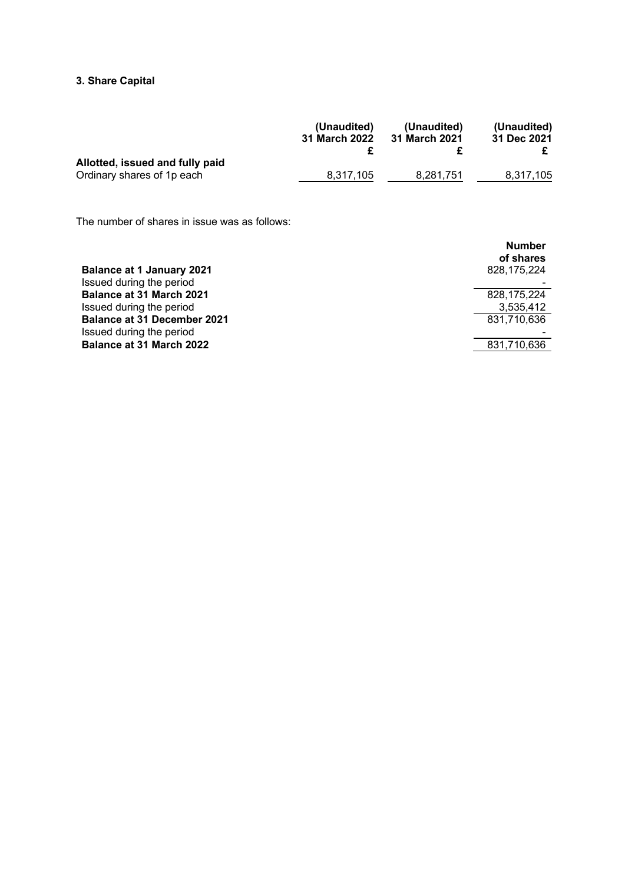# **3. Share Capital**

|                                                               | (Unaudited)   | (Unaudited)   | (Unaudited) |
|---------------------------------------------------------------|---------------|---------------|-------------|
|                                                               | 31 March 2022 | 31 March 2021 | 31 Dec 2021 |
| Allotted, issued and fully paid<br>Ordinary shares of 1p each | 8.317.105     | 8,281,751     | 8.317.105   |

The number of shares in issue was as follows:

| <b>Balance at 1 January 2021</b>   | <b>Number</b><br>of shares<br>828,175,224 |
|------------------------------------|-------------------------------------------|
| Issued during the period           |                                           |
| <b>Balance at 31 March 2021</b>    | 828.175.224                               |
| Issued during the period           | 3,535,412                                 |
| <b>Balance at 31 December 2021</b> | 831,710,636                               |
| Issued during the period           |                                           |
| <b>Balance at 31 March 2022</b>    | 831,710,636                               |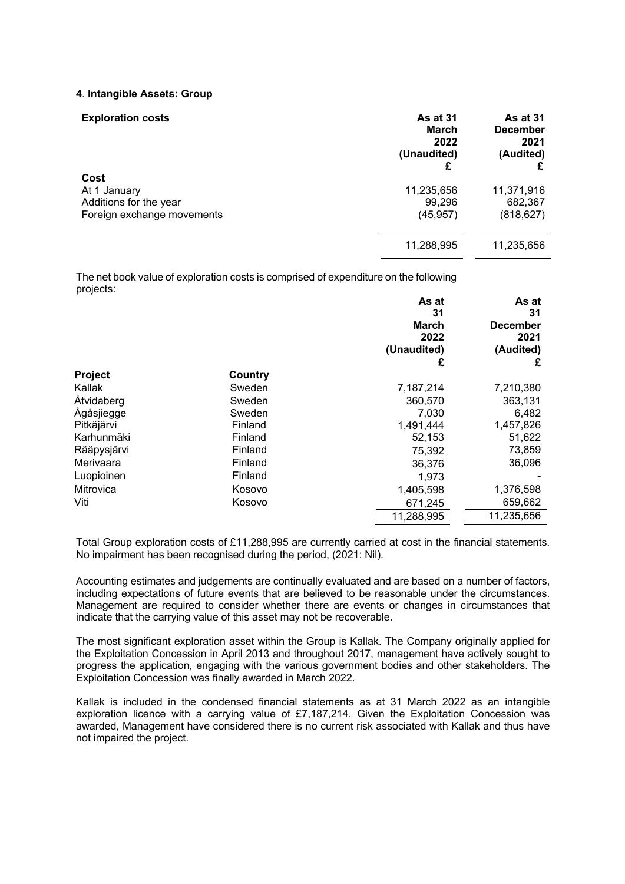#### **4**. **Intangible Assets: Group**

| <b>Exploration costs</b>                                                     | <b>As at 31</b><br><b>March</b><br>2022<br>(Unaudited)<br>£ | <b>As at 31</b><br><b>December</b><br>2021<br>(Audited) |
|------------------------------------------------------------------------------|-------------------------------------------------------------|---------------------------------------------------------|
| Cost<br>At 1 January<br>Additions for the year<br>Foreign exchange movements | 11,235,656<br>99,296<br>(45, 957)                           | 11,371,916<br>682,367<br>(818, 627)                     |
|                                                                              | 11,288,995                                                  | 11,235,656                                              |

The net book value of exploration costs is comprised of expenditure on the following projects:

|             |         | As at        | As at      |
|-------------|---------|--------------|------------|
|             |         | 31           | 31         |
|             |         | <b>March</b> | December   |
|             |         | 2022         | 2021       |
|             |         | (Unaudited)  | (Audited)  |
|             |         | £            | £          |
| Project     | Country |              |            |
| Kallak      | Sweden  | 7,187,214    | 7,210,380  |
| Åtvidaberg  | Sweden  | 360,570      | 363,131    |
| Ågåsjiegge  | Sweden  | 7,030        | 6,482      |
| Pitkäjärvi  | Finland | 1,491,444    | 1,457,826  |
| Karhunmäki  | Finland | 52,153       | 51,622     |
| Rääpysjärvi | Finland | 75,392       | 73,859     |
| Merivaara   | Finland | 36,376       | 36,096     |
| Luopioinen  | Finland | 1,973        |            |
| Mitrovica   | Kosovo  | 1,405,598    | 1,376,598  |
| Viti        | Kosovo  | 671,245      | 659,662    |
|             |         | 11,288,995   | 11,235,656 |

Total Group exploration costs of £11,288,995 are currently carried at cost in the financial statements. No impairment has been recognised during the period, (2021: Nil).

Accounting estimates and judgements are continually evaluated and are based on a number of factors, including expectations of future events that are believed to be reasonable under the circumstances. Management are required to consider whether there are events or changes in circumstances that indicate that the carrying value of this asset may not be recoverable.

The most significant exploration asset within the Group is Kallak. The Company originally applied for the Exploitation Concession in April 2013 and throughout 2017, management have actively sought to progress the application, engaging with the various government bodies and other stakeholders. The Exploitation Concession was finally awarded in March 2022.

Kallak is included in the condensed financial statements as at 31 March 2022 as an intangible exploration licence with a carrying value of £7,187,214. Given the Exploitation Concession was awarded, Management have considered there is no current risk associated with Kallak and thus have not impaired the project.